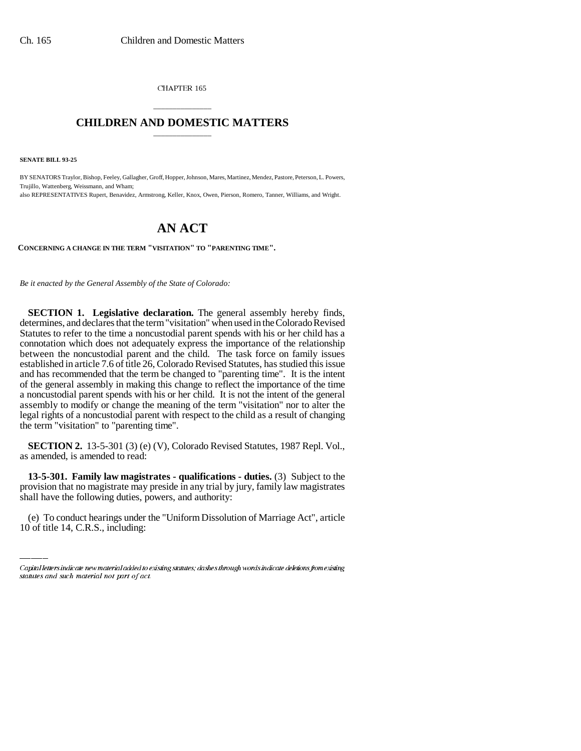CHAPTER 165

## \_\_\_\_\_\_\_\_\_\_\_\_\_\_\_ **CHILDREN AND DOMESTIC MATTERS** \_\_\_\_\_\_\_\_\_\_\_\_\_\_\_

**SENATE BILL 93-25**

BY SENATORS Traylor, Bishop, Feeley, Gallagher, Groff, Hopper, Johnson, Mares, Martinez, Mendez, Pastore, Peterson, L. Powers, Trujillo, Wattenberg, Weissmann, and Wham; also REPRESENTATIVES Rupert, Benavidez, Armstrong, Keller, Knox, Owen, Pierson, Romero, Tanner, Williams, and Wright.

## **AN ACT**

**CONCERNING A CHANGE IN THE TERM "VISITATION" TO "PARENTING TIME".**

*Be it enacted by the General Assembly of the State of Colorado:*

**SECTION 1. Legislative declaration.** The general assembly hereby finds, determines, and declares that the term "visitation" when used in the Colorado Revised Statutes to refer to the time a noncustodial parent spends with his or her child has a connotation which does not adequately express the importance of the relationship between the noncustodial parent and the child. The task force on family issues established in article 7.6 of title 26, Colorado Revised Statutes, has studied this issue and has recommended that the term be changed to "parenting time". It is the intent of the general assembly in making this change to reflect the importance of the time a noncustodial parent spends with his or her child. It is not the intent of the general assembly to modify or change the meaning of the term "visitation" nor to alter the legal rights of a noncustodial parent with respect to the child as a result of changing the term "visitation" to "parenting time".

**SECTION 2.** 13-5-301 (3) (e) (V), Colorado Revised Statutes, 1987 Repl. Vol., as amended, is amended to read:

provision that no magistrate may preside in any trial by jury, family law magistrates **13-5-301. Family law magistrates - qualifications - duties.** (3) Subject to the shall have the following duties, powers, and authority:

(e) To conduct hearings under the "Uniform Dissolution of Marriage Act", article 10 of title 14, C.R.S., including:

Capital letters indicate new material added to existing statutes; dashes through words indicate deletions from existing statutes and such material not part of act.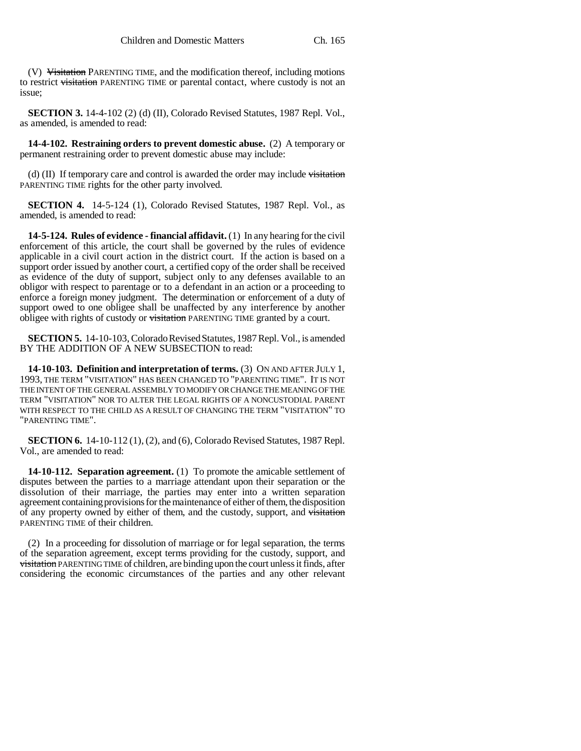(V) Visitation PARENTING TIME, and the modification thereof, including motions to restrict visitation PARENTING TIME or parental contact, where custody is not an issue;

**SECTION 3.** 14-4-102 (2) (d) (II), Colorado Revised Statutes, 1987 Repl. Vol., as amended, is amended to read:

**14-4-102. Restraining orders to prevent domestic abuse.** (2) A temporary or permanent restraining order to prevent domestic abuse may include:

(d)  $(II)$  If temporary care and control is awarded the order may include visitation PARENTING TIME rights for the other party involved.

**SECTION 4.** 14-5-124 (1), Colorado Revised Statutes, 1987 Repl. Vol., as amended, is amended to read:

**14-5-124. Rules of evidence - financial affidavit.** (1) In any hearing for the civil enforcement of this article, the court shall be governed by the rules of evidence applicable in a civil court action in the district court. If the action is based on a support order issued by another court, a certified copy of the order shall be received as evidence of the duty of support, subject only to any defenses available to an obligor with respect to parentage or to a defendant in an action or a proceeding to enforce a foreign money judgment. The determination or enforcement of a duty of support owed to one obligee shall be unaffected by any interference by another obligee with rights of custody or visitation PARENTING TIME granted by a court.

**SECTION 5.** 14-10-103, Colorado Revised Statutes, 1987 Repl. Vol., is amended BY THE ADDITION OF A NEW SUBSECTION to read:

**14-10-103. Definition and interpretation of terms.** (3) ON AND AFTER JULY 1, 1993, THE TERM "VISITATION" HAS BEEN CHANGED TO "PARENTING TIME". IT IS NOT THE INTENT OF THE GENERAL ASSEMBLY TO MODIFY OR CHANGE THE MEANING OF THE TERM "VISITATION" NOR TO ALTER THE LEGAL RIGHTS OF A NONCUSTODIAL PARENT WITH RESPECT TO THE CHILD AS A RESULT OF CHANGING THE TERM "VISITATION" TO "PARENTING TIME".

**SECTION 6.** 14-10-112 (1), (2), and (6), Colorado Revised Statutes, 1987 Repl. Vol., are amended to read:

**14-10-112. Separation agreement.** (1) To promote the amicable settlement of disputes between the parties to a marriage attendant upon their separation or the dissolution of their marriage, the parties may enter into a written separation agreement containing provisions for the maintenance of either of them, the disposition of any property owned by either of them, and the custody, support, and visitation PARENTING TIME of their children.

(2) In a proceeding for dissolution of marriage or for legal separation, the terms of the separation agreement, except terms providing for the custody, support, and visitation PARENTING TIME of children, are binding upon the court unless it finds, after considering the economic circumstances of the parties and any other relevant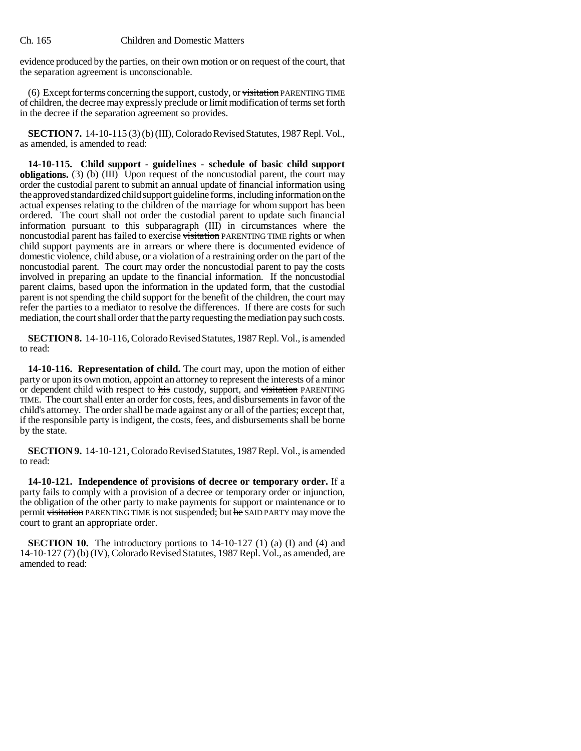evidence produced by the parties, on their own motion or on request of the court, that the separation agreement is unconscionable.

(6) Except for terms concerning the support, custody, or visitation PARENTING TIME of children, the decree may expressly preclude or limit modification of terms set forth in the decree if the separation agreement so provides.

**SECTION 7.** 14-10-115 (3) (b) (III), Colorado Revised Statutes, 1987 Repl. Vol., as amended, is amended to read:

**14-10-115. Child support - guidelines - schedule of basic child support obligations.** (3) (b) (III) Upon request of the noncustodial parent, the court may order the custodial parent to submit an annual update of financial information using the approved standardized child support guideline forms, including information on the actual expenses relating to the children of the marriage for whom support has been ordered. The court shall not order the custodial parent to update such financial information pursuant to this subparagraph (III) in circumstances where the noncustodial parent has failed to exercise visitation PARENTING TIME rights or when child support payments are in arrears or where there is documented evidence of domestic violence, child abuse, or a violation of a restraining order on the part of the noncustodial parent. The court may order the noncustodial parent to pay the costs involved in preparing an update to the financial information. If the noncustodial parent claims, based upon the information in the updated form, that the custodial parent is not spending the child support for the benefit of the children, the court may refer the parties to a mediator to resolve the differences. If there are costs for such mediation, the court shall order that the party requesting the mediation pay such costs.

**SECTION 8.** 14-10-116, Colorado Revised Statutes, 1987 Repl. Vol., is amended to read:

**14-10-116. Representation of child.** The court may, upon the motion of either party or upon its own motion, appoint an attorney to represent the interests of a minor or dependent child with respect to his custody, support, and visitation PARENTING TIME. The court shall enter an order for costs, fees, and disbursements in favor of the child's attorney. The order shall be made against any or all of the parties; except that, if the responsible party is indigent, the costs, fees, and disbursements shall be borne by the state.

**SECTION 9.** 14-10-121, Colorado Revised Statutes, 1987 Repl. Vol., is amended to read:

**14-10-121. Independence of provisions of decree or temporary order.** If a party fails to comply with a provision of a decree or temporary order or injunction, the obligation of the other party to make payments for support or maintenance or to permit visitation PARENTING TIME is not suspended; but he SAID PARTY may move the court to grant an appropriate order.

**SECTION 10.** The introductory portions to 14-10-127 (1) (a) (I) and (4) and 14-10-127 (7) (b) (IV), Colorado Revised Statutes, 1987 Repl. Vol., as amended, are amended to read: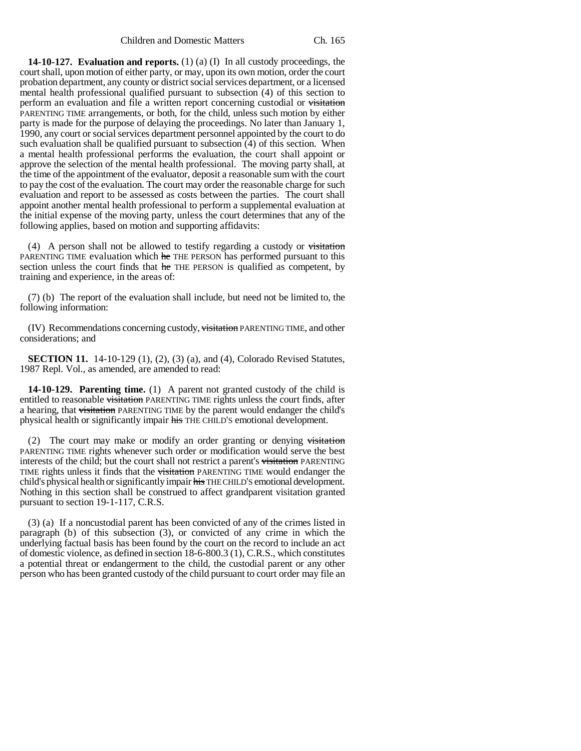**14-10-127. Evaluation and reports.** (1) (a) (I) In all custody proceedings, the court shall, upon motion of either party, or may, upon its own motion, order the court probation department, any county or district social services department, or a licensed mental health professional qualified pursuant to subsection (4) of this section to perform an evaluation and file a written report concerning custodial or visitation PARENTING TIME arrangements, or both, for the child, unless such motion by either party is made for the purpose of delaying the proceedings. No later than January 1, 1990, any court or social services department personnel appointed by the court to do such evaluation shall be qualified pursuant to subsection (4) of this section. When a mental health professional performs the evaluation, the court shall appoint or approve the selection of the mental health professional. The moving party shall, at the time of the appointment of the evaluator, deposit a reasonable sum with the court to pay the cost of the evaluation. The court may order the reasonable charge for such evaluation and report to be assessed as costs between the parties. The court shall appoint another mental health professional to perform a supplemental evaluation at the initial expense of the moving party, unless the court determines that any of the following applies, based on motion and supporting affidavits:

(4) A person shall not be allowed to testify regarding a custody or  $\overrightarrow{v}\$ PARENTING TIME evaluation which he THE PERSON has performed pursuant to this section unless the court finds that he THE PERSON is qualified as competent, by training and experience, in the areas of:

(7) (b) The report of the evaluation shall include, but need not be limited to, the following information:

(IV) Recommendations concerning custody, visitation PARENTING TIME, and other considerations; and

**SECTION 11.** 14-10-129 (1), (2), (3) (a), and (4), Colorado Revised Statutes, 1987 Repl. Vol., as amended, are amended to read:

**14-10-129. Parenting time.** (1) A parent not granted custody of the child is entitled to reasonable visitation PARENTING TIME rights unless the court finds, after a hearing, that visitation PARENTING TIME by the parent would endanger the child's physical health or significantly impair his THE CHILD'S emotional development.

(2) The court may make or modify an order granting or denying visitation PARENTING TIME rights whenever such order or modification would serve the best interests of the child; but the court shall not restrict a parent's visitation PARENTING TIME rights unless it finds that the visitation PARENTING TIME would endanger the child's physical health or significantly impair his THE CHILD'S emotional development. Nothing in this section shall be construed to affect grandparent visitation granted pursuant to section 19-1-117, C.R.S.

(3) (a) If a noncustodial parent has been convicted of any of the crimes listed in paragraph (b) of this subsection (3), or convicted of any crime in which the underlying factual basis has been found by the court on the record to include an act of domestic violence, as defined in section 18-6-800.3 (1), C.R.S., which constitutes a potential threat or endangerment to the child, the custodial parent or any other person who has been granted custody of the child pursuant to court order may file an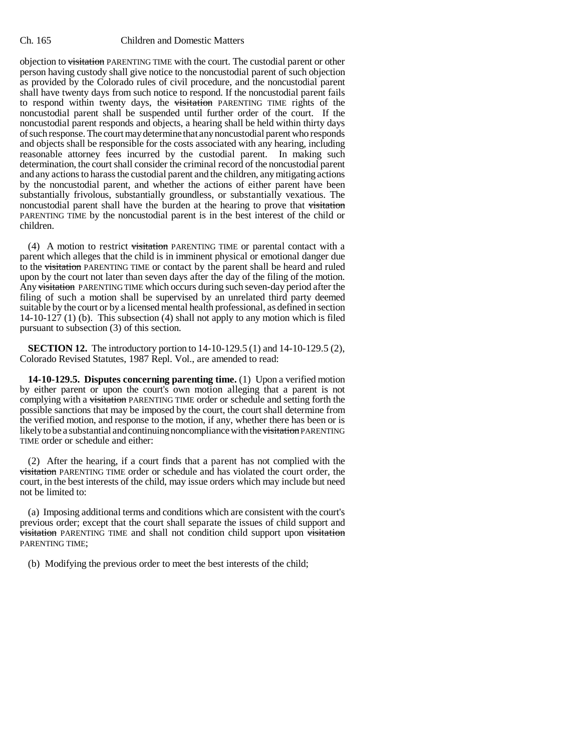## Ch. 165 Children and Domestic Matters

objection to visitation PARENTING TIME with the court. The custodial parent or other person having custody shall give notice to the noncustodial parent of such objection as provided by the Colorado rules of civil procedure, and the noncustodial parent shall have twenty days from such notice to respond. If the noncustodial parent fails to respond within twenty days, the visitation PARENTING TIME rights of the noncustodial parent shall be suspended until further order of the court. If the noncustodial parent responds and objects, a hearing shall be held within thirty days of such response. The court may determine that any noncustodial parent who responds and objects shall be responsible for the costs associated with any hearing, including reasonable attorney fees incurred by the custodial parent. In making such determination, the court shall consider the criminal record of the noncustodial parent and any actions to harass the custodial parent and the children, any mitigating actions by the noncustodial parent, and whether the actions of either parent have been substantially frivolous, substantially groundless, or substantially vexatious. The noncustodial parent shall have the burden at the hearing to prove that visitation PARENTING TIME by the noncustodial parent is in the best interest of the child or children.

(4) A motion to restrict visitation PARENTING TIME or parental contact with a parent which alleges that the child is in imminent physical or emotional danger due to the visitation PARENTING TIME or contact by the parent shall be heard and ruled upon by the court not later than seven days after the day of the filing of the motion. Any visitation PARENTING TIME which occurs during such seven-day period after the filing of such a motion shall be supervised by an unrelated third party deemed suitable by the court or by a licensed mental health professional, as defined in section 14-10-127 (1) (b). This subsection (4) shall not apply to any motion which is filed pursuant to subsection (3) of this section.

**SECTION 12.** The introductory portion to 14-10-129.5 (1) and 14-10-129.5 (2), Colorado Revised Statutes, 1987 Repl. Vol., are amended to read:

**14-10-129.5. Disputes concerning parenting time.** (1) Upon a verified motion by either parent or upon the court's own motion alleging that a parent is not complying with a visitation PARENTING TIME order or schedule and setting forth the possible sanctions that may be imposed by the court, the court shall determine from the verified motion, and response to the motion, if any, whether there has been or is likely to be a substantial and continuing noncompliance with the visitation PARENTING TIME order or schedule and either:

(2) After the hearing, if a court finds that a parent has not complied with the visitation PARENTING TIME order or schedule and has violated the court order, the court, in the best interests of the child, may issue orders which may include but need not be limited to:

(a) Imposing additional terms and conditions which are consistent with the court's previous order; except that the court shall separate the issues of child support and **visitation** PARENTING TIME and shall not condition child support upon visitation PARENTING TIME;

(b) Modifying the previous order to meet the best interests of the child;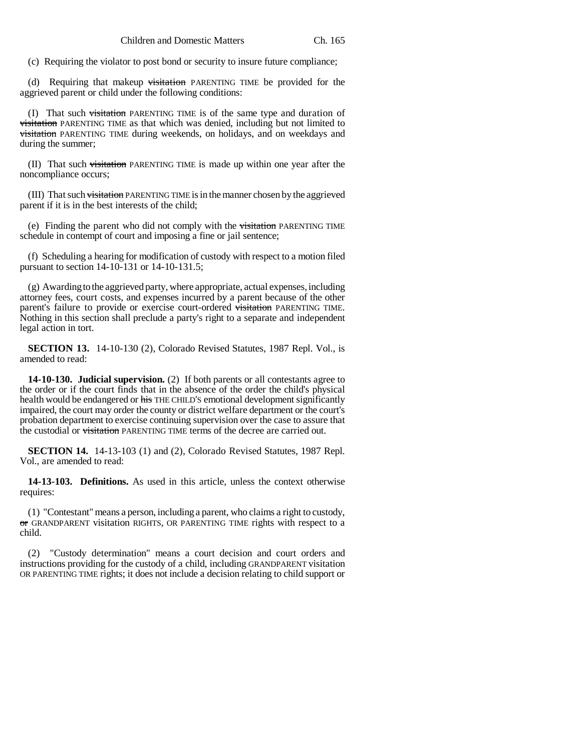(c) Requiring the violator to post bond or security to insure future compliance;

(d) Requiring that makeup visitation PARENTING TIME be provided for the aggrieved parent or child under the following conditions:

(I) That such visitation PARENTING TIME is of the same type and duration of visitation PARENTING TIME as that which was denied, including but not limited to visitation PARENTING TIME during weekends, on holidays, and on weekdays and during the summer;

(II) That such visitation PARENTING TIME is made up within one year after the noncompliance occurs;

(III) That such visitation PARENTING TIME is in the manner chosen by the aggrieved parent if it is in the best interests of the child;

(e) Finding the parent who did not comply with the visitation PARENTING TIME schedule in contempt of court and imposing a fine or jail sentence;

(f) Scheduling a hearing for modification of custody with respect to a motion filed pursuant to section 14-10-131 or 14-10-131.5;

(g) Awarding to the aggrieved party, where appropriate, actual expenses, including attorney fees, court costs, and expenses incurred by a parent because of the other parent's failure to provide or exercise court-ordered visitation PARENTING TIME. Nothing in this section shall preclude a party's right to a separate and independent legal action in tort.

**SECTION 13.** 14-10-130 (2), Colorado Revised Statutes, 1987 Repl. Vol., is amended to read:

**14-10-130. Judicial supervision.** (2) If both parents or all contestants agree to the order or if the court finds that in the absence of the order the child's physical health would be endangered or his THE CHILD'S emotional development significantly impaired, the court may order the county or district welfare department or the court's probation department to exercise continuing supervision over the case to assure that the custodial or visitation PARENTING TIME terms of the decree are carried out.

**SECTION 14.** 14-13-103 (1) and (2), Colorado Revised Statutes, 1987 Repl. Vol., are amended to read:

**14-13-103. Definitions.** As used in this article, unless the context otherwise requires:

(1) "Contestant" means a person, including a parent, who claims a right to custody, or GRANDPARENT visitation RIGHTS, OR PARENTING TIME rights with respect to a child.

(2) "Custody determination" means a court decision and court orders and instructions providing for the custody of a child, including GRANDPARENT visitation OR PARENTING TIME rights; it does not include a decision relating to child support or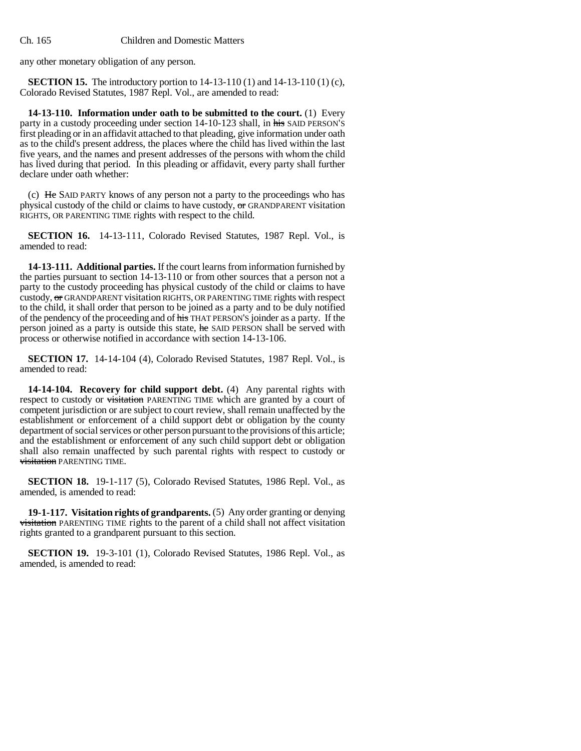any other monetary obligation of any person.

**SECTION 15.** The introductory portion to 14-13-110 (1) and 14-13-110 (1) (c), Colorado Revised Statutes, 1987 Repl. Vol., are amended to read:

**14-13-110. Information under oath to be submitted to the court.** (1) Every party in a custody proceeding under section 14-10-123 shall, in his SAID PERSON'S first pleading or in an affidavit attached to that pleading, give information under oath as to the child's present address, the places where the child has lived within the last five years, and the names and present addresses of the persons with whom the child has lived during that period. In this pleading or affidavit, every party shall further declare under oath whether:

(c) He SAID PARTY knows of any person not a party to the proceedings who has physical custody of the child or claims to have custody, or GRANDPARENT visitation RIGHTS, OR PARENTING TIME rights with respect to the child.

**SECTION 16.** 14-13-111, Colorado Revised Statutes, 1987 Repl. Vol., is amended to read:

**14-13-111. Additional parties.** If the court learns from information furnished by the parties pursuant to section 14-13-110 or from other sources that a person not a party to the custody proceeding has physical custody of the child or claims to have custody, or GRANDPARENT visitation RIGHTS, OR PARENTING TIME rights with respect to the child, it shall order that person to be joined as a party and to be duly notified of the pendency of the proceeding and of his THAT PERSON'S joinder as a party. If the person joined as a party is outside this state, he SAID PERSON shall be served with process or otherwise notified in accordance with section 14-13-106.

**SECTION 17.** 14-14-104 (4), Colorado Revised Statutes, 1987 Repl. Vol., is amended to read:

**14-14-104. Recovery for child support debt.** (4) Any parental rights with respect to custody or visitation PARENTING TIME which are granted by a court of competent jurisdiction or are subject to court review, shall remain unaffected by the establishment or enforcement of a child support debt or obligation by the county department of social services or other person pursuant to the provisions of this article; and the establishment or enforcement of any such child support debt or obligation shall also remain unaffected by such parental rights with respect to custody or visitation PARENTING TIME.

**SECTION 18.** 19-1-117 (5), Colorado Revised Statutes, 1986 Repl. Vol., as amended, is amended to read:

**19-1-117. Visitation rights of grandparents.** (5) Any order granting or denying visitation PARENTING TIME rights to the parent of a child shall not affect visitation rights granted to a grandparent pursuant to this section.

**SECTION 19.** 19-3-101 (1), Colorado Revised Statutes, 1986 Repl. Vol., as amended, is amended to read: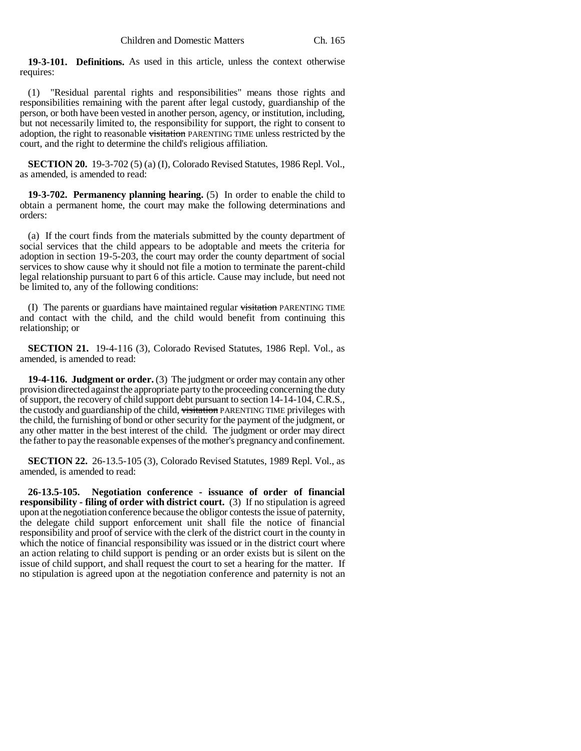**19-3-101. Definitions.** As used in this article, unless the context otherwise requires:

(1) "Residual parental rights and responsibilities" means those rights and responsibilities remaining with the parent after legal custody, guardianship of the person, or both have been vested in another person, agency, or institution, including, but not necessarily limited to, the responsibility for support, the right to consent to adoption, the right to reasonable visitation PARENTING TIME unless restricted by the court, and the right to determine the child's religious affiliation.

**SECTION 20.** 19-3-702 (5) (a) (I), Colorado Revised Statutes, 1986 Repl. Vol., as amended, is amended to read:

**19-3-702. Permanency planning hearing.** (5) In order to enable the child to obtain a permanent home, the court may make the following determinations and orders:

(a) If the court finds from the materials submitted by the county department of social services that the child appears to be adoptable and meets the criteria for adoption in section 19-5-203, the court may order the county department of social services to show cause why it should not file a motion to terminate the parent-child legal relationship pursuant to part 6 of this article. Cause may include, but need not be limited to, any of the following conditions:

(I) The parents or guardians have maintained regular visitation PARENTING TIME and contact with the child, and the child would benefit from continuing this relationship; or

**SECTION 21.** 19-4-116 (3), Colorado Revised Statutes, 1986 Repl. Vol., as amended, is amended to read:

**19-4-116. Judgment or order.** (3) The judgment or order may contain any other provision directed against the appropriate party to the proceeding concerning the duty of support, the recovery of child support debt pursuant to section 14-14-104, C.R.S., the custody and guardianship of the child, visitation PARENTING TIME privileges with the child, the furnishing of bond or other security for the payment of the judgment, or any other matter in the best interest of the child. The judgment or order may direct the father to pay the reasonable expenses of the mother's pregnancy and confinement.

**SECTION 22.** 26-13.5-105 (3), Colorado Revised Statutes, 1989 Repl. Vol., as amended, is amended to read:

**26-13.5-105. Negotiation conference - issuance of order of financial responsibility - filing of order with district court.** (3) If no stipulation is agreed upon at the negotiation conference because the obligor contests the issue of paternity, the delegate child support enforcement unit shall file the notice of financial responsibility and proof of service with the clerk of the district court in the county in which the notice of financial responsibility was issued or in the district court where an action relating to child support is pending or an order exists but is silent on the issue of child support, and shall request the court to set a hearing for the matter. If no stipulation is agreed upon at the negotiation conference and paternity is not an